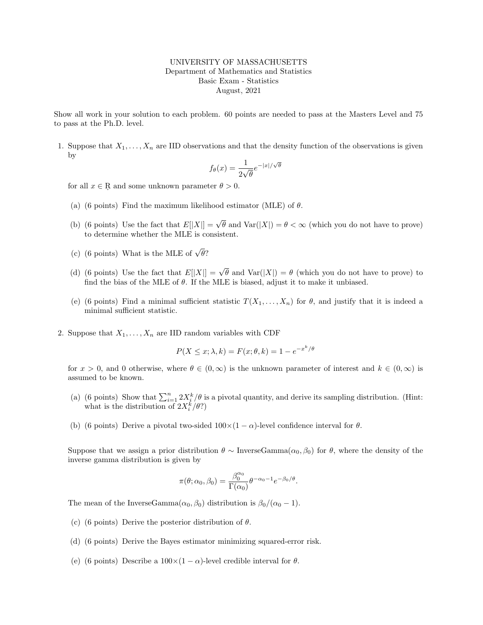## UNIVERSITY OF MASSACHUSETTS Department of Mathematics and Statistics Basic Exam - Statistics August, 2021

Show all work in your solution to each problem. 60 points are needed to pass at the Masters Level and 75 to pass at the Ph.D. level.

1. Suppose that  $X_1, \ldots, X_n$  are IID observations and that the density function of the observations is given by

$$
f_{\theta}(x) = \frac{1}{2\sqrt{\theta}} e^{-|x|/\sqrt{\theta}}
$$

for all  $x \in \mathbb{R}$  and some unknown parameter  $\theta > 0$ .

- (a) (6 points) Find the maximum likelihood estimator (MLE) of  $\theta$ .
- (b) (6 points) Use the fact that  $E[|X|] = \sqrt{\theta}$  and  $Var(|X|) = \theta < \infty$  (which you do not have to prove) to determine whether the MLE is consistent.
- (c) (6 points) What is the MLE of  $\sqrt{\theta}$ ?
- (d) (6 points) Use the fact that  $E[|X|] = \sqrt{\theta}$  and  $Var(|X|) = \theta$  (which you do not have to prove) to find the bias of the MLE of  $\theta$ . If the MLE is biased, adjust it to make it unbiased.
- (e) (6 points) Find a minimal sufficient statistic  $T(X_1, \ldots, X_n)$  for  $\theta$ , and justify that it is indeed a minimal sufficient statistic.
- 2. Suppose that  $X_1, \ldots, X_n$  are IID random variables with CDF

$$
P(X \le x; \lambda, k) = F(x; \theta, k) = 1 - e^{-x^k/\theta}
$$

for  $x > 0$ , and 0 otherwise, where  $\theta \in (0,\infty)$  is the unknown parameter of interest and  $k \in (0,\infty)$  is assumed to be known.

- (a) (6 points) Show that  $\sum_{i=1}^{n} 2X_i^k/\theta$  is a pivotal quantity, and derive its sampling distribution. (Hint: what is the distribution of  $2X_i^k/\theta$ ?)
- (b) (6 points) Derive a pivotal two-sided  $100\times(1-\alpha)$ -level confidence interval for  $\theta$ .

Suppose that we assign a prior distribution  $\theta \sim \text{InverseGamma}(\alpha_0, \beta_0)$  for  $\theta$ , where the density of the inverse gamma distribution is given by

$$
\pi(\theta; \alpha_0, \beta_0) = \frac{\beta_0^{\alpha_0}}{\Gamma(\alpha_0)} \theta^{-\alpha_0 - 1} e^{-\beta_0/\theta}.
$$

The mean of the InverseGamma $(\alpha_0, \beta_0)$  distribution is  $\beta_0/(\alpha_0 - 1)$ .

- (c) (6 points) Derive the posterior distribution of  $\theta$ .
- (d) (6 points) Derive the Bayes estimator minimizing squared-error risk.
- (e) (6 points) Describe a  $100\times(1-\alpha)$ -level credible interval for  $\theta$ .